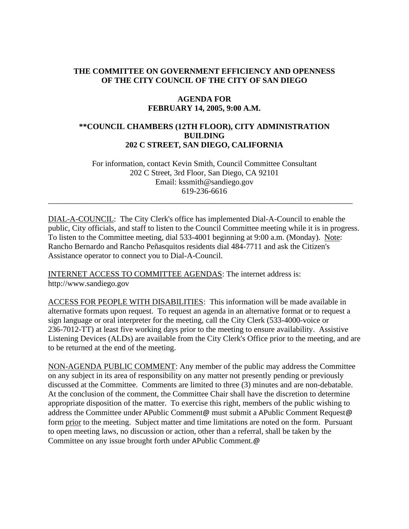# **THE COMMITTEE ON GOVERNMENT EFFICIENCY AND OPENNESS OF THE CITY COUNCIL OF THE CITY OF SAN DIEGO**

#### **AGENDA FOR FEBRUARY 14, 2005, 9:00 A.M.**

### **\*\*COUNCIL CHAMBERS (12TH FLOOR), CITY ADMINISTRATION BUILDING 202 C STREET, SAN DIEGO, CALIFORNIA**

For information, contact Kevin Smith, Council Committee Consultant 202 C Street, 3rd Floor, San Diego, CA 92101 Email: kssmith@sandiego.gov 619-236-6616

\_\_\_\_\_\_\_\_\_\_\_\_\_\_\_\_\_\_\_\_\_\_\_\_\_\_\_\_\_\_\_\_\_\_\_\_\_\_\_\_\_\_\_\_\_\_\_\_\_\_\_\_\_\_\_\_\_\_\_\_\_\_\_\_\_\_\_\_\_\_\_\_\_\_\_\_

DIAL-A-COUNCIL: The City Clerk's office has implemented Dial-A-Council to enable the public, City officials, and staff to listen to the Council Committee meeting while it is in progress. To listen to the Committee meeting, dial 533-4001 beginning at 9:00 a.m. (Monday). Note: Rancho Bernardo and Rancho Peñasquitos residents dial 484-7711 and ask the Citizen's Assistance operator to connect you to Dial-A-Council.

INTERNET ACCESS TO COMMITTEE AGENDAS: The internet address is: http://www.sandiego.gov

ACCESS FOR PEOPLE WITH DISABILITIES: This information will be made available in alternative formats upon request. To request an agenda in an alternative format or to request a sign language or oral interpreter for the meeting, call the City Clerk (533-4000-voice or 236-7012-TT) at least five working days prior to the meeting to ensure availability. Assistive Listening Devices (ALDs) are available from the City Clerk's Office prior to the meeting, and are to be returned at the end of the meeting.

NON-AGENDA PUBLIC COMMENT: Any member of the public may address the Committee on any subject in its area of responsibility on any matter not presently pending or previously discussed at the Committee. Comments are limited to three (3) minutes and are non-debatable. At the conclusion of the comment, the Committee Chair shall have the discretion to determine appropriate disposition of the matter. To exercise this right, members of the public wishing to address the Committee under APublic Comment@ must submit a APublic Comment Request@ form prior to the meeting. Subject matter and time limitations are noted on the form. Pursuant to open meeting laws, no discussion or action, other than a referral, shall be taken by the Committee on any issue brought forth under APublic Comment.@